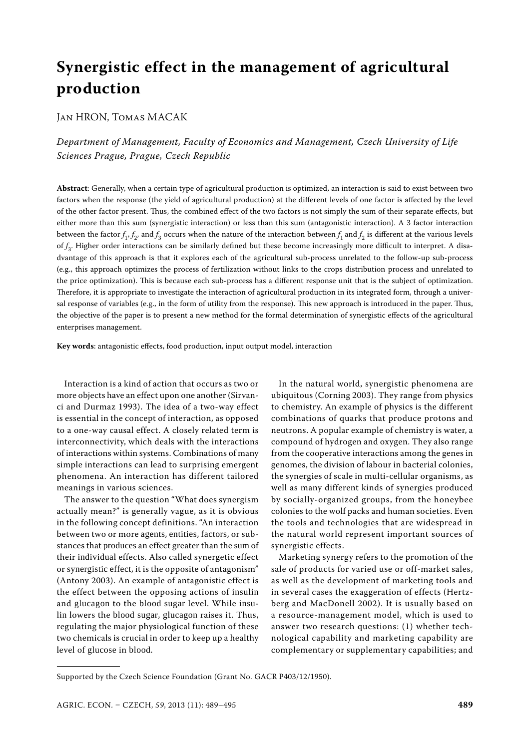# **Synergistic effect in the management of agricultural production**

Jan HRON, Tomas MACAK

Department of Management, Faculty of Economics and Management, Czech University of Life Sciences Prague, Prague, Czech Republic

**Abstract**: Generally, when a certain type of agricultural production is optimized, an interaction is said to exist between two factors when the response (the yield of agricultural production) at the different levels of one factor is affected by the level of the other factor present. Thus, the combined effect of the two factors is not simply the sum of their separate effects, but either more than this sum (synergistic interaction) or less than this sum (antagonistic interaction). A 3 factor interaction between the factor  $f_1, f_2$ , and  $f_3$  occurs when the nature of the interaction between  $f_1$  and  $f_2$  is different at the various levels of  $f_3$ . Higher order interactions can be similarly defined but these become increasingly more difficult to interpret. A disadvantage of this approach is that it explores each of the agricultural sub-process unrelated to the follow-up sub-process (e.g., this approach optimizes the process of fertilization without links to the crops distribution process and unrelated to the price optimization). This is because each sub-process has a different response unit that is the subject of optimization. Therefore, it is appropriate to investigate the interaction of agricultural production in its integrated form, through a universal response of variables (e.g., in the form of utility from the response). This new approach is introduced in the paper. Thus, the objective of the paper is to present a new method for the formal determination of synergistic effects of the agricultural enterprises management.

Key words: antagonistic effects, food production, input output model, interaction

Interaction is a kind of action that occurs as two or more objects have an effect upon one another (Sirvanci and Durmaz 1993). The idea of a two-way effect is essential in the concept of interaction, as opposed to a one-way causal effect. A closely related term is interconnectivity, which deals with the interactions of interactions within systems. Combinations of many simple interactions can lead to surprising emergent phenomena. An interaction has different tailored meanings in various sciences.

The answer to the question "What does synergism actually mean?" is generally vague, as it is obvious in the following concept definitions. "An interaction between two or more agents, entities, factors, or substances that produces an effect greater than the sum of their individual effects. Also called synergetic effect or synergistic effect, it is the opposite of antagonism" (Antony 2003). An example of antagonistic effect is the effect between the opposing actions of insulin and glucagon to the blood sugar level. While insulin lowers the blood sugar, glucagon raises it. Thus, regulating the major physiological function of these two chemicals is crucial in order to keep up a healthy level of glucose in blood.

In the natural world, synergistic phenomena are ubiquitous (Corning 2003). They range from physics to chemistry. An example of physics is the different combinations of quarks that produce protons and neutrons. A popular example of chemistry is water, a compound of hydrogen and oxygen. They also range from the cooperative interactions among the genes in genomes, the division of labour in bacterial colonies, the synergies of scale in multi-cellular organisms, as well as many different kinds of synergies produced by socially-organized groups, from the honeybee colonies to the wolf packs and human societies. Even the tools and technologies that are widespread in the natural world represent important sources of synergistic effects.

Marketing synergy refers to the promotion of the sale of products for varied use or off-market sales, as well as the development of marketing tools and in several cases the exaggeration of effects (Hertzberg and MacDonell 2002). It is usually based on a resource-management model, which is used to answer two research questions: (1) whether technological capability and marketing capability are complementary or supplementary capabilities; and

Supported by the Czech Science Foundation (Grant No. GACR P403/12/1950).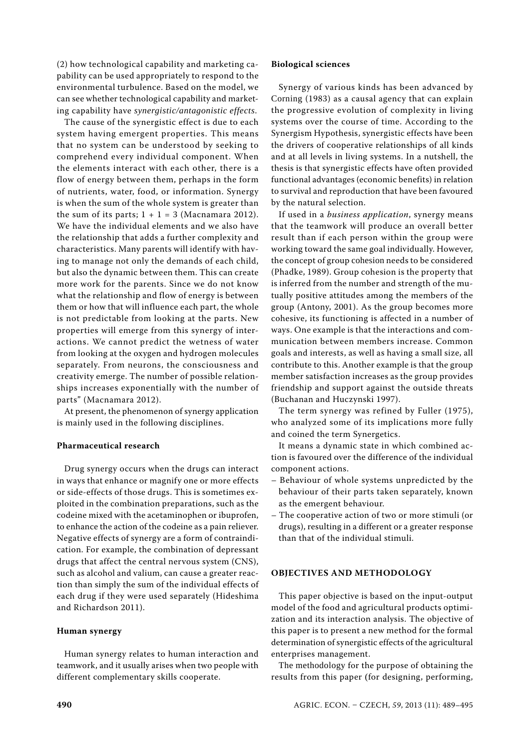(2) how technological capability and marketing capability can be used appropriately to respond to the environmental turbulence. Based on the model, we can see whether technological capability and marketing capability have *synergistic/antagonistic effects*.

The cause of the synergistic effect is due to each system having emergent properties. This means that no system can be understood by seeking to comprehend every individual component. When the elements interact with each other, there is a flow of energy between them, perhaps in the form of nutrients, water, food, or information. Synergy is when the sum of the whole system is greater than the sum of its parts;  $1 + 1 = 3$  (Macnamara 2012). We have the individual elements and we also have the relationship that adds a further complexity and characteristics. Many parents will identify with having to manage not only the demands of each child, but also the dynamic between them. This can create more work for the parents. Since we do not know what the relationship and flow of energy is between them or how that will influence each part, the whole is not predictable from looking at the parts. New properties will emerge from this synergy of interactions. We cannot predict the wetness of water from looking at the oxygen and hydrogen molecules separately. From neurons, the consciousness and creativity emerge. The number of possible relationships increases exponentially with the number of parts" (Macnamara 2012).

At present, the phenomenon of synergy application is mainly used in the following disciplines.

#### **Pharmaceutical research**

Drug synergy occurs when the drugs can interact in ways that enhance or magnify one or more effects or side-effects of those drugs. This is sometimes exploited in the combination preparations, such as the codeine mixed with the acetaminophen or ibuprofen, to enhance the action of the codeine as a pain reliever. Negative effects of synergy are a form of contraindication. For example, the combination of depressant drugs that affect the central nervous system (CNS), such as alcohol and valium, can cause a greater reaction than simply the sum of the individual effects of each drug if they were used separately (Hideshima and Richardson 2011).

## **Human synergy**

Human synergy relates to human interaction and teamwork, and it usually arises when two people with different complementary skills cooperate.

#### **Biological sciences**

Synergy of various kinds has been advanced by Corning (1983) as a causal agency that can explain the progressive evolution of complexity in living systems over the course of time. According to the Synergism Hypothesis, synergistic effects have been the drivers of cooperative relationships of all kinds and at all levels in living systems. In a nutshell, the thesis is that synergistic effects have often provided functional advantages (economic benefits) in relation to survival and reproduction that have been favoured by the natural selection.

If used in a *business application*, synergy means that the teamwork will produce an overall better result than if each person within the group were working toward the same goal individually. However, the concept of group cohesion needs to be considered (Phadke, 1989). Group cohesion is the property that is inferred from the number and strength of the mutually positive attitudes among the members of the group (Antony, 2001). As the group becomes more cohesive, its functioning is affected in a number of ways. One example is that the interactions and communication between members increase. Common goals and interests, as well as having a small size, all contribute to this. Another example is that the group member satisfaction increases as the group provides friendship and support against the outside threats (Buchanan and Huczynski 1997).

The term synergy was refined by Fuller (1975), who analyzed some of its implications more fully and coined the term Synergetics.

It means a dynamic state in which combined action is favoured over the difference of the individual component actions.

- Behaviour of whole systems unpredicted by the behaviour of their parts taken separately, known as the emergent behaviour.
- The cooperative action of two or more stimuli (or drugs), resulting in a different or a greater response than that of the individual stimuli.

## **OBJECTIVES AND METHODOLOGY**

This paper objective is based on the input-output model of the food and agricultural products optimization and its interaction analysis. The objective of this paper is to present a new method for the formal determination of synergistic effects of the agricultural enterprises management.

The methodology for the purpose of obtaining the results from this paper (for designing, performing,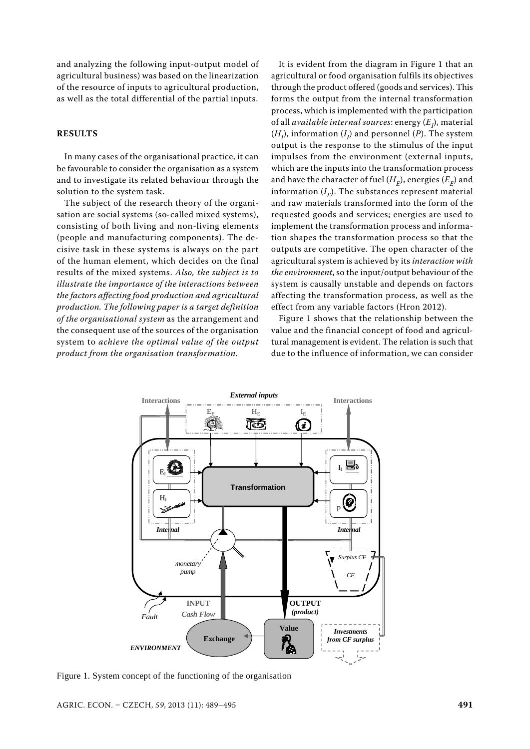and analyzing the following input-output model of agricultural business) was based on the linearization of the resource of inputs to agricultural production, as well as the total differential of the partial inputs.

## **RESULTS**

In many cases of the organisational practice, it can be favourable to consider the organisation as a system and to investigate its related behaviour through the solution to the system task.

The subject of the research theory of the organisation are social systems (so-called mixed systems), consisting of both living and non-living elements (people and manufacturing components). The decisive task in these systems is always on the part of the human element, which decides on the final results of the mixed systems. Also, the subject is to illustrate the importance of the interactions between the factors affecting food production and agricultural production. The following paper is a target definition of the organisational system as the arrangement and the consequent use of the sources of the organisation system to achieve the optimal value of the output product from the organisation transformation.

It is evident from the diagram in Figure 1 that an agricultural or food organisation fulfils its objectives through the product offered (goods and services). This forms the output from the internal transformation process, which is implemented with the participation of all *available internal sources*: energy  $(E<sub>I</sub>)$ , material  $(H<sub>I</sub>)$ , information  $(I<sub>I</sub>)$  and personnel (P). The system output is the response to the stimulus of the input impulses from the environment (external inputs, which are the inputs into the transformation process and have the character of fuel  $(H<sub>F</sub>)$ , energies  $(E<sub>F</sub>)$  and information  $\left(I_{E}\right)$ . The substances represent material and raw materials transformed into the form of the requested goods and services; energies are used to implement the transformation process and information shapes the transformation process so that the outputs are competitive. The open character of the agricultural system is achieved by its interaction with the environment, so the input/output behaviour of the system is causally unstable and depends on factors affecting the transformation process, as well as the effect from any variable factors (Hron 2012).

Figure 1 shows that the relationship between the value and the financial concept of food and agricultural management is evident. The relation is such that due to the influence of information, we can consider



Figure 1. System concept of the functioning of the organisation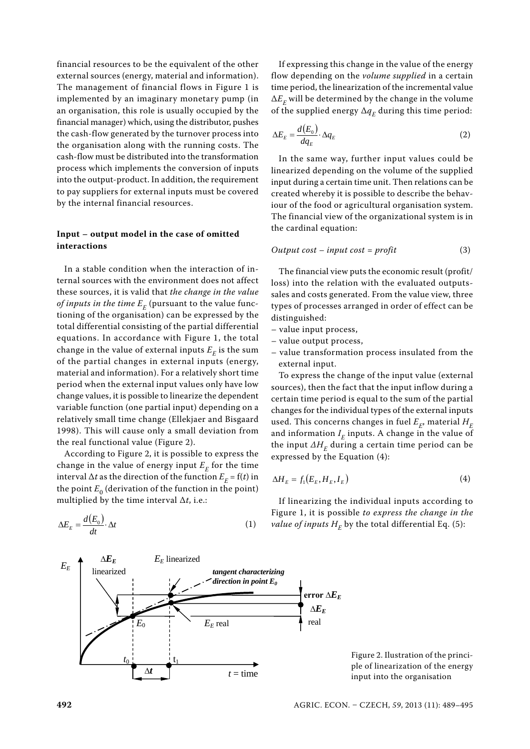financial resources to be the equivalent of the other external sources (energy, material and information). The management of financial flows in Figure 1 is implemented by an imaginary monetary pump (in an organisation, this role is usually occupied by the financial manager) which, using the distributor, pushes the cash-flow generated by the turnover process into the organisation along with the running costs. The cash-flow must be distributed into the transformation process which implements the conversion of inputs into the output-product. In addition, the requirement to pay suppliers for external inputs must be covered by the internal financial resources.

## **Input – output model in the case of omitted interactions**

In a stable condition when the interaction of internal sources with the environment does not affect these sources, it is valid that the change in the value of inputs in the time  $E_F$  (pursuant to the value functioning of the organisation) can be expressed by the total differential consisting of the partial differential equations. In accordance with Figure 1, the total change in the value of external inputs  $E<sub>F</sub>$  is the sum of the partial changes in external inputs (energy, material and information). For a relatively short time period when the external input values only have low change values, it is possible to linearize the dependent variable function (one partial input) depending on a relatively small time change (Ellekjaer and Bisgaard 1998). This will cause only a small deviation from the real functional value (Figure 2).

According to Figure 2, it is possible to express the change in the value of energy input  $E<sub>F</sub>$  for the time interval  $\Delta t$  as the direction of the function  $E<sub>F</sub> = f(t)$  in the point  $E_0$  (derivation of the function in the point) multiplied by the time interval  $\Delta t$ , i.e.:

$$
\Delta E_E = \frac{d(E_0)}{dt} \cdot \Delta t \tag{1}
$$

If expressing this change in the value of the energy flow depending on the volume supplied in a certain time period, the linearization of the incremental value  $\Delta E_F$  will be determined by the change in the volume of the supplied energy  $\Delta q_E$  during this time period:

$$
\Delta E_E = \frac{d(E_0)}{dq_E} \cdot \Delta q_E \tag{2}
$$

In the same way, further input values could be linearized depending on the volume of the supplied input during a certain time unit. Then relations can be created whereby it is possible to describe the behaviour of the food or agricultural organisation system. The financial view of the organizational system is in the cardinal equation:

Output 
$$
cost - input cost = profit
$$
 (3)

The financial view puts the economic result (profit/ loss) into the relation with the evaluated outputssales and costs generated. From the value view, three types of processes arranged in order of effect can be distinguished:

- value input process,
- value output process,
- value transformation process insulated from the external input.

To express the change of the input value (external sources), then the fact that the input inflow during a certain time period is equal to the sum of the partial changes for the individual types of the external inputs used. This concerns changes in fuel  $E_E$ , material  $H_E$ and information  $I_{E}$  inputs. A change in the value of the input  $\Delta H_F$  during a certain time period can be expressed by the Equation (4):

$$
\Delta H_E = f_1(E_E, H_E, I_E) \tag{4}
$$

If linearizing the individual inputs according to Figure 1, it is possible to express the change in the *value of inputs*  $H_F$  by the total differential Eq. (5):



Figure 2. Ilustration of the principle of linearization of the energy input into the organisation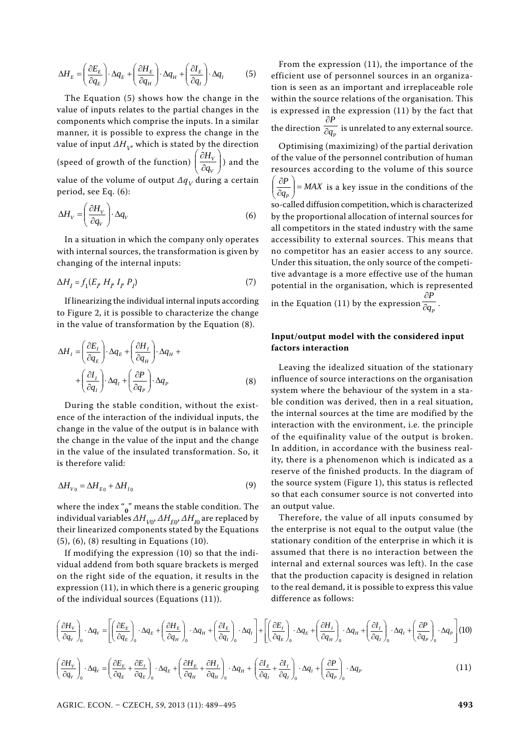$$
\Delta H_E = \left(\frac{\partial E_E}{\partial q_E}\right) \cdot \Delta q_E + \left(\frac{\partial H_E}{\partial q_H}\right) \cdot \Delta q_H + \left(\frac{\partial I_E}{\partial q_I}\right) \cdot \Delta q_I \tag{5}
$$

The Equation (5) shows how the change in the value of inputs relates to the partial changes in the components which comprise the inputs. In a similar manner, it is possible to express the change in the value of input  $\Delta H_V$ , which is stated by the direction (speed of growth of the function)  $\left| \frac{\partial H_V}{\partial q} \right|$ )  $\backslash$  $\overline{\phantom{a}}$  $\backslash$ ſ  $\partial$  $\hat{o}$ *V V q*  $\left(\frac{H_{V}}{2}\right)$  and the value of the volume of output  $\Delta q_V$  during a certain period, see Eq. (6):

$$
\Delta H_V = \left(\frac{\partial H_V}{\partial q_V}\right) \cdot \Delta q_V \tag{6}
$$

In a situation in which the company only operates with internal sources, the transformation is given by changing of the internal inputs:

$$
\Delta H_I = f_1 (E_p H_p I_p P_l) \tag{7}
$$

If linearizing the individual internal inputs according to Figure 2, it is possible to characterize the change in the value of transformation by the Equation (8).

$$
\Delta H_{I} = \left(\frac{\partial E_{I}}{\partial q_{E}}\right) \cdot \Delta q_{E} + \left(\frac{\partial H_{I}}{\partial q_{H}}\right) \cdot \Delta q_{H} + \left(\frac{\partial I_{I}}{\partial q_{I}}\right) \cdot \Delta q_{I} + \left(\frac{\partial P}{\partial q_{P}}\right) \cdot \Delta q_{P}
$$
\n(8)

During the stable condition, without the existence of the interaction of the individual inputs, the change in the value of the output is in balance with the change in the value of the input and the change in the value of the insulated transformation. So, it is therefore valid:

$$
\Delta H_{V_0} = \Delta H_{E_0} + \Delta H_{I_0} \tag{9}
$$

where the index "**0**" means the stable condition. The individual variables  $\Delta H_{V0}$ ,  $\Delta H_{E0}$ ,  $\Delta H_{I0}$  are replaced by their linearized components stated by the Equations (5), (6), (8) resulting in Equations (10).

If modifying the expression (10) so that the individual addend from both square brackets is merged on the right side of the equation, it results in the expression (11), in which there is a generic grouping of the individual sources (Equations (11)).

From the expression (11), the importance of the efficient use of personnel sources in an organization is seen as an important and irreplaceable role within the source relations of the organisation. This is expressed in the expression (11) by the fact that the direction  $\overline{\partial q_{\scriptscriptstyle F}}$ *P*  $\hat{c}$  $\hat{c}$ is unrelated to any external source.

Optimising (maximizing) of the partial derivation of the value of the personnel contribution of human resources according to the volume of this source  $\left(\frac{\partial I}{\partial q_P}\right) = MAX$ *P*  $\begin{bmatrix} - \\ P \end{bmatrix} =$ J  $\setminus$  $\mid$  $\overline{\phantom{a}}$ ſ  $\left(\frac{\partial P}{\partial q_P}\right)$  = MAX is a key issue in the conditions of the so-called diffusion competition, which is characterized by the proportional allocation of internal sources for all competitors in the stated industry with the same accessibility to external sources. This means that no competitor has an easier access to any source. Under this situation, the only source of the competitive advantage is a more effective use of the human potential in the organisation, which is represented in the Equation (11) by the expression  $\overline{\partial q_{\mu}}$ *P*  $\frac{\partial P}{\partial q_p}$ .

## **Input/output model with the considered input factors interaction**

Leaving the idealized situation of the stationary influence of source interactions on the organisation system where the behaviour of the system in a stable condition was derived, then in a real situation, the internal sources at the time are modified by the interaction with the environment, i.e. the principle of the equifinality value of the output is broken. In addition, in accordance with the business reality, there is a phenomenon which is indicated as a reserve of the finished products. In the diagram of the source system (Figure 1), this status is reflected so that each consumer source is not converted into an output value.

Therefore, the value of all inputs consumed by the enterprise is not equal to the output value (the stationary condition of the enterprise in which it is assumed that there is no interaction between the internal and external sources was left). In the case that the production capacity is designed in relation to the real demand, it is possible to express this value difference as follows:

$$
\left(\frac{\partial H_V}{\partial q_V}\right)_0 \cdot \Delta q_V = \left[\left(\frac{\partial E_E}{\partial q_E}\right)_0 \cdot \Delta q_E + \left(\frac{\partial H_E}{\partial q_H}\right)_0 \cdot \Delta q_H + \left(\frac{\partial I_E}{\partial q_I}\right)_0 \cdot \Delta q_I\right] + \left[\left(\frac{\partial E_I}{\partial q_E}\right)_0 \cdot \Delta q_E + \left(\frac{\partial H_I}{\partial q_H}\right)_0 \cdot \Delta q_H + \left(\frac{\partial I_I}{\partial q_I}\right)_0 \cdot \Delta q_I + \left(\frac{\partial P}{\partial q_P}\right)_0 \cdot \Delta q_I\right] (10)
$$

$$
\left(\frac{\partial H_{V}}{\partial q_{V}}\right)_{0} \cdot \Delta q_{V} = \left(\frac{\partial E_{E}}{\partial q_{E}} + \frac{\partial E_{I}}{\partial q_{E}}\right)_{0} \cdot \Delta q_{E} + \left(\frac{\partial H_{E}}{\partial q_{H}} + \frac{\partial H_{I}}{\partial q_{H}}\right)_{0} \cdot \Delta q_{H} + \left(\frac{\partial I_{E}}{\partial q_{I}} + \frac{\partial I_{I}}{\partial q_{I}}\right)_{0} \cdot \Delta q_{I} + \left(\frac{\partial P}{\partial q_{P}}\right)_{0} \cdot \Delta q_{P}
$$
\n(11)

AGRIC. ECON. CZECH, 59, 2013 (11): 489–495 **493**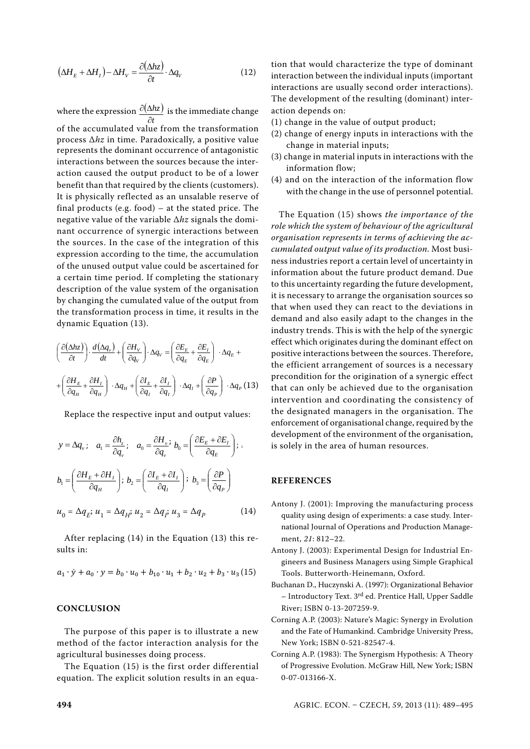$$
\left(\Delta H_E + \Delta H_I\right) - \Delta H_V = \frac{\partial(\Delta h z)}{\partial t} \cdot \Delta q_V \tag{12}
$$

where the expression  $\partial(\Delta h z)$ *t hz*  $\partial$  $\partial(\Delta h z)$  is the immediate change

of the accumulated value from the transformation process  $\Delta hz$  in time. Paradoxically, a positive value represents the dominant occurrence of antagonistic interactions between the sources because the interaction caused the output product to be of a lower benefit than that required by the clients (customers). It is physically reflected as an unsalable reserve of final products (e.g. food) – at the stated price. The negative value of the variable  $\Delta h z$  signals the dominant occurrence of synergic interactions between the sources. In the case of the integration of this expression according to the time, the accumulation of the unused output value could be ascertained for a certain time period. If completing the stationary description of the value system of the organisation by changing the cumulated value of the output from the transformation process in time, it results in the dynamic Equation (13).

$$
\left(\frac{\partial(\Delta hz)}{\partial t}\right) \cdot \frac{d(\Delta q_v)}{dt} + \left(\frac{\partial H_v}{\partial q_v}\right) \cdot \Delta q_v = \left(\frac{\partial E_E}{\partial q_E} + \frac{\partial E_I}{\partial q_E}\right) \cdot \Delta q_E + \left(\frac{\partial H_E}{\partial q_H} + \frac{\partial H_I}{\partial q_H}\right) \cdot \Delta q_H + \left(\frac{\partial I_E}{\partial q_H} + \frac{\partial I_I}{\partial q_I}\right) \cdot \Delta q_I + \left(\frac{\partial P}{\partial q_P}\right) \cdot \Delta q_P \tag{13}
$$

Replace the respective input and output values:

$$
y = \Delta q_v; \quad a_1 = \frac{\partial h_z}{\partial q_v}; \quad a_0 = \frac{\partial H_v}{\partial q_v}; \quad b_0 = \left(\frac{\partial E_E + \partial E_I}{\partial q_E}\right);
$$

$$
b_1 = \left(\frac{\partial H_E + \partial H_I}{\partial q_H}\right); \quad b_2 = \left(\frac{\partial I_E + \partial I_I}{\partial q_I}\right); \quad b_3 = \left(\frac{\partial P}{\partial q_P}\right)
$$

$$
u_0 = \Delta q_E; \quad u_1 = \Delta q_H; \quad u_2 = \Delta q_I; \quad u_3 = \Delta q_P \tag{14}
$$

After replacing (14) in the Equation (13) this results in:

$$
a_1 \cdot \dot{y} + a_0 \cdot y = b_0 \cdot u_0 + b_{10} \cdot u_1 + b_2 \cdot u_2 + b_3 \cdot u_3 (15)
$$

#### **CONCLUSION**

The purpose of this paper is to illustrate a new method of the factor interaction analysis for the agricultural businesses doing process.

The Equation (15) is the first order differential equation. The explicit solution results in an equation that would characterize the type of dominant interaction between the individual inputs (important interactions are usually second order interactions). The development of the resulting (dominant) interaction depends on:

- (1) change in the value of output product;
- (2) change of energy inputs in interactions with the change in material inputs;
- (3) change in material inputs in interactions with the information flow;
- (4) and on the interaction of the information flow with the change in the use of personnel potential.

The Equation (15) shows the importance of the role which the system of behaviour of the agricultural organisation represents in terms of achieving the accumulated output value of its production. Most business industries report a certain level of uncertainty in information about the future product demand. Due to this uncertainty regarding the future development, it is necessary to arrange the organisation sources so that when used they can react to the deviations in demand and also easily adapt to the changes in the industry trends. This is with the help of the synergic effect which originates during the dominant effect on positive interactions between the sources. Therefore, the efficient arrangement of sources is a necessary precondition for the origination of a synergic effect that can only be achieved due to the organisation intervention and coordinating the consistency of the designated managers in the organisation. The enforcement of organisational change, required by the development of the environment of the organisation, is solely in the area of human resources.

### **REFERENCES**

- Antony J. (2001): Improving the manufacturing process quality using design of experiments: a case study. International Journal of Operations and Production Management, 21: 812–22.
- Antony J. (2003): Experimental Design for Industrial Engineers and Business Managers using Simple Graphical Tools. Butterworth-Heinemann, Oxford.
- Buchanan D., Huczynski A. (1997): Organizational Behavior – Introductory Text. 3rd ed. Prentice Hall, Upper Saddle River; ISBN 0-13-207259-9.
- Corning A.P. (2003): Nature's Magic: Synergy in Evolution and the Fate of Humankind. Cambridge University Press, New York; ISBN 0-521-82547-4.
- Corning A.P. (1983): The Synergism Hypothesis: A Theory of Progressive Evolution. McGraw Hill, New York; ISBN 0-07-013166-X.